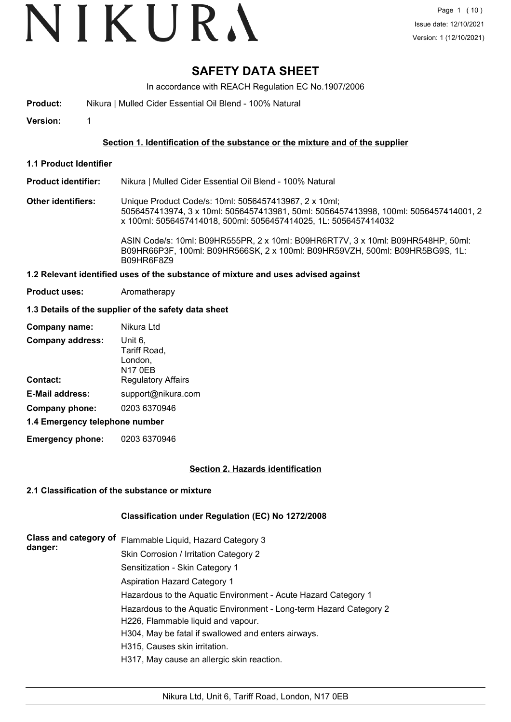# VIKURA

### **SAFETY DATA SHEET**

In accordance with REACH Regulation EC No.1907/2006

**Product:** Nikura | Mulled Cider Essential Oil Blend - 100% Natural

**Version:** 1

#### **Section 1. Identification of the substance or the mixture and of the supplier**

**1.1 Product Identifier**

#### **Product identifier:** Nikura | Mulled Cider Essential Oil Blend - 100% Natural

**Other identifiers:** Unique Product Code/s: 10ml: 5056457413967, 2 x 10ml; 5056457413974, 3 x 10ml: 5056457413981, 50ml: 5056457413998, 100ml: 5056457414001, 2 x 100ml: 5056457414018, 500ml: 5056457414025, 1L: 5056457414032

> ASIN Code/s: 10ml: B09HR555PR, 2 x 10ml: B09HR6RT7V, 3 x 10ml: B09HR548HP, 50ml: B09HR66P3F, 100ml: B09HR566SK, 2 x 100ml: B09HR59VZH, 500ml: B09HR5BG9S, 1L: B09HR6F8Z9

#### **1.2 Relevant identified uses of the substance of mixture and uses advised against**

**Product uses:** Aromatherapy

#### **1.3 Details of the supplier of the safety data sheet**

| Company name:                  | Nikura Ltd                                    |
|--------------------------------|-----------------------------------------------|
| <b>Company address:</b>        | Unit 6.<br>Tariff Road,<br>London,<br>N17 0EB |
| Contact:                       | <b>Regulatory Affairs</b>                     |
| <b>E-Mail address:</b>         | support@nikura.com                            |
| Company phone:                 | 0203 6370946                                  |
| 1.4 Emergency telephone number |                                               |

**Emergency phone:** 0203 6370946

#### **Section 2. Hazards identification**

#### **2.1 Classification of the substance or mixture**

#### **Classification under Regulation (EC) No 1272/2008**

| <b>Class and category of</b><br>danger: | Flammable Liquid, Hazard Category 3                                                                      |
|-----------------------------------------|----------------------------------------------------------------------------------------------------------|
|                                         | Skin Corrosion / Irritation Category 2                                                                   |
|                                         | Sensitization - Skin Category 1                                                                          |
|                                         | <b>Aspiration Hazard Category 1</b>                                                                      |
|                                         | Hazardous to the Aquatic Environment - Acute Hazard Category 1                                           |
|                                         | Hazardous to the Aquatic Environment - Long-term Hazard Category 2<br>H226, Flammable liquid and vapour. |
|                                         | H304, May be fatal if swallowed and enters airways.                                                      |
|                                         | H315, Causes skin irritation.                                                                            |
|                                         | H317, May cause an allergic skin reaction.                                                               |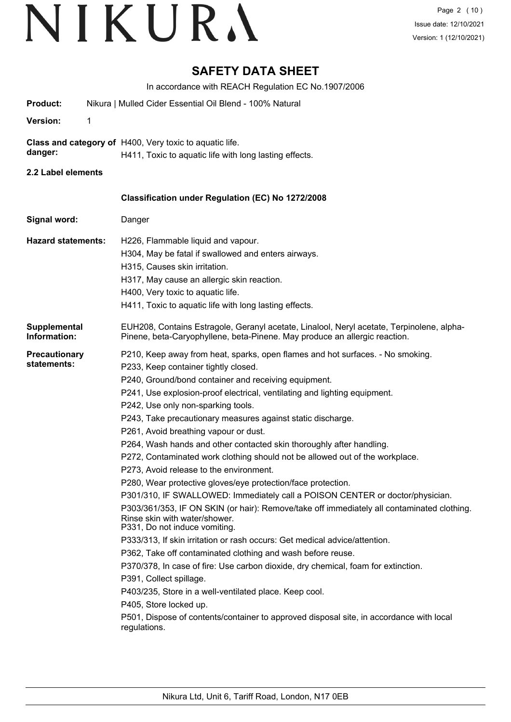### **SAFETY DATA SHEET**

In accordance with REACH Regulation EC No.1907/2006

| Product:                            | Nikura   Mulled Cider Essential Oil Blend - 100% Natural                                                                                                                                                                                                                                                                                                                                                                                                                                                                                                                                                                                                                                                                                                                                                                                                                                                                                                                                                                                                                                                                                                                                                                                                                                                                                                                                  |
|-------------------------------------|-------------------------------------------------------------------------------------------------------------------------------------------------------------------------------------------------------------------------------------------------------------------------------------------------------------------------------------------------------------------------------------------------------------------------------------------------------------------------------------------------------------------------------------------------------------------------------------------------------------------------------------------------------------------------------------------------------------------------------------------------------------------------------------------------------------------------------------------------------------------------------------------------------------------------------------------------------------------------------------------------------------------------------------------------------------------------------------------------------------------------------------------------------------------------------------------------------------------------------------------------------------------------------------------------------------------------------------------------------------------------------------------|
| <b>Version:</b><br>1                |                                                                                                                                                                                                                                                                                                                                                                                                                                                                                                                                                                                                                                                                                                                                                                                                                                                                                                                                                                                                                                                                                                                                                                                                                                                                                                                                                                                           |
| danger:                             | Class and category of H400, Very toxic to aquatic life.<br>H411, Toxic to aquatic life with long lasting effects.                                                                                                                                                                                                                                                                                                                                                                                                                                                                                                                                                                                                                                                                                                                                                                                                                                                                                                                                                                                                                                                                                                                                                                                                                                                                         |
| 2.2 Label elements                  |                                                                                                                                                                                                                                                                                                                                                                                                                                                                                                                                                                                                                                                                                                                                                                                                                                                                                                                                                                                                                                                                                                                                                                                                                                                                                                                                                                                           |
|                                     | Classification under Regulation (EC) No 1272/2008                                                                                                                                                                                                                                                                                                                                                                                                                                                                                                                                                                                                                                                                                                                                                                                                                                                                                                                                                                                                                                                                                                                                                                                                                                                                                                                                         |
| Signal word:                        | Danger                                                                                                                                                                                                                                                                                                                                                                                                                                                                                                                                                                                                                                                                                                                                                                                                                                                                                                                                                                                                                                                                                                                                                                                                                                                                                                                                                                                    |
| <b>Hazard statements:</b>           | H226, Flammable liquid and vapour.<br>H304, May be fatal if swallowed and enters airways.<br>H315, Causes skin irritation.<br>H317, May cause an allergic skin reaction.<br>H400, Very toxic to aquatic life.<br>H411, Toxic to aquatic life with long lasting effects.                                                                                                                                                                                                                                                                                                                                                                                                                                                                                                                                                                                                                                                                                                                                                                                                                                                                                                                                                                                                                                                                                                                   |
| <b>Supplemental</b><br>Information: | EUH208, Contains Estragole, Geranyl acetate, Linalool, Neryl acetate, Terpinolene, alpha-<br>Pinene, beta-Caryophyllene, beta-Pinene. May produce an allergic reaction.                                                                                                                                                                                                                                                                                                                                                                                                                                                                                                                                                                                                                                                                                                                                                                                                                                                                                                                                                                                                                                                                                                                                                                                                                   |
| <b>Precautionary</b><br>statements: | P210, Keep away from heat, sparks, open flames and hot surfaces. - No smoking.<br>P233, Keep container tightly closed.<br>P240, Ground/bond container and receiving equipment.<br>P241, Use explosion-proof electrical, ventilating and lighting equipment.<br>P242, Use only non-sparking tools.<br>P243, Take precautionary measures against static discharge.<br>P261, Avoid breathing vapour or dust.<br>P264, Wash hands and other contacted skin thoroughly after handling.<br>P272, Contaminated work clothing should not be allowed out of the workplace.<br>P273, Avoid release to the environment.<br>P280, Wear protective gloves/eye protection/face protection.<br>P301/310, IF SWALLOWED: Immediately call a POISON CENTER or doctor/physician.<br>P303/361/353, IF ON SKIN (or hair): Remove/take off immediately all contaminated clothing.<br>Rinse skin with water/shower.<br>P331, Do not induce vomiting.<br>P333/313, If skin irritation or rash occurs: Get medical advice/attention.<br>P362, Take off contaminated clothing and wash before reuse.<br>P370/378, In case of fire: Use carbon dioxide, dry chemical, foam for extinction.<br>P391, Collect spillage.<br>P403/235, Store in a well-ventilated place. Keep cool.<br>P405, Store locked up.<br>P501, Dispose of contents/container to approved disposal site, in accordance with local<br>regulations. |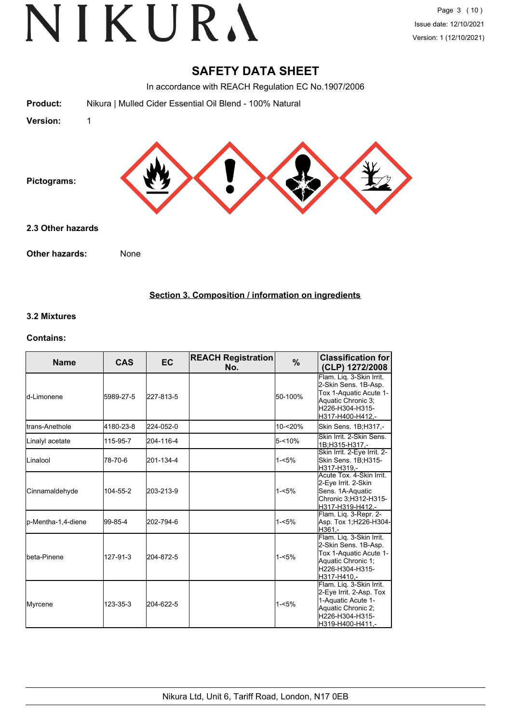### **SAFETY DATA SHEET**

In accordance with REACH Regulation EC No.1907/2006

|                   | IN accordance with REACH Regulation EC NO. 1907/2006     |
|-------------------|----------------------------------------------------------|
| Product:          | Nikura   Mulled Cider Essential Oil Blend - 100% Natural |
| <b>Version:</b>   |                                                          |
| Pictograms:       |                                                          |
| 2.3 Other hazards |                                                          |

**Other hazards:** None

**Section 3. Composition / information on ingredients**

#### **3.2 Mixtures**

#### **Contains:**

| <b>Name</b>         | <b>CAS</b> | <b>EC</b> | <b>REACH Registration</b><br>No. | %         | <b>Classification for</b><br>(CLP) 1272/2008                                                                                            |
|---------------------|------------|-----------|----------------------------------|-----------|-----------------------------------------------------------------------------------------------------------------------------------------|
| <b>l</b> d-Limonene | 5989-27-5  | 227-813-5 |                                  | 50-100%   | Flam. Lig. 3-Skin Irrit.<br>2-Skin Sens. 1B-Asp.<br>Tox 1-Aquatic Acute 1-<br>Aquatic Chronic 3;<br>H226-H304-H315-<br>H317-H400-H412,- |
| Itrans-Anethole     | 4180-23-8  | 224-052-0 |                                  | 10-<20%   | Skin Sens. 1B;H317,-                                                                                                                    |
| Linalyl acetate     | 115-95-7   | 204-116-4 |                                  | $5 - 10%$ | Skin Irrit, 2-Skin Sens.<br>1B:H315-H317 .-                                                                                             |
| <b>I</b> Linalool   | 78-70-6    | 201-134-4 |                                  | $1 - 5%$  | Skin Irrit. 2-Eye Irrit. 2-<br>Skin Sens. 1B;H315-<br>H317-H319.-                                                                       |
| Cinnamaldehyde      | 104-55-2   | 203-213-9 |                                  | $1 - 5%$  | Acute Tox. 4-Skin Irrit.<br>2-Eye Irrit. 2-Skin<br>Sens. 1A-Aquatic<br>Chronic 3;H312-H315-<br>H317-H319-H412.-                         |
| p-Mentha-1,4-diene  | 99-85-4    | 202-794-6 |                                  | 1-<5%     | Flam. Lig. 3-Repr. 2-<br>Asp. Tox 1;H226-H304-<br>H361.-                                                                                |
| Ibeta-Pinene        | 127-91-3   | 204-872-5 |                                  | $1 - 5%$  | Flam. Liq. 3-Skin Irrit.<br>2-Skin Sens. 1B-Asp.<br>Tox 1-Aquatic Acute 1-<br>Aquatic Chronic 1:<br>H226-H304-H315-<br>H317-H410,-      |
| Myrcene             | 123-35-3   | 204-622-5 |                                  | $1 - 5%$  | Flam. Liq. 3-Skin Irrit.<br>2-Eye Irrit. 2-Asp. Tox<br>1-Aquatic Acute 1-<br>Aquatic Chronic 2;<br>H226-H304-H315-<br>H319-H400-H411,-  |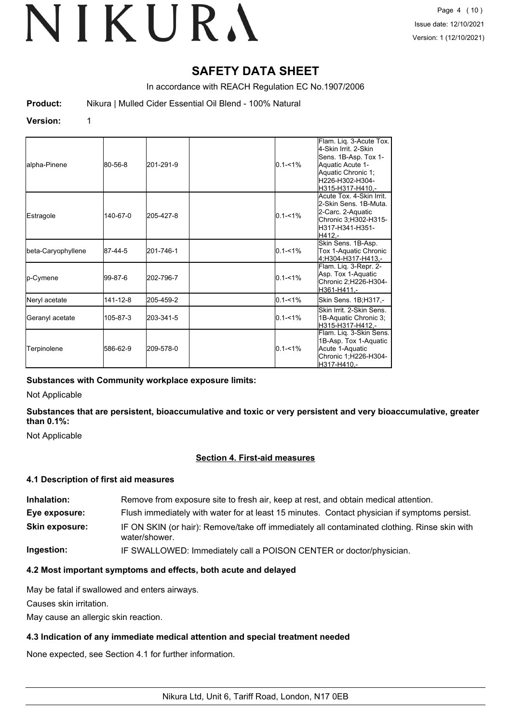### **SAFETY DATA SHEET**

In accordance with REACH Regulation EC No.1907/2006

**Product:** Nikura | Mulled Cider Essential Oil Blend - 100% Natural

#### **Version:** 1

| alpha-Pinene       | 80-56-8  | 201-291-9 | $0.1 - 1\%$ | Flam. Liq. 3-Acute Tox.<br>l4-Skin Irrit. 2-Skin<br>Sens. 1B-Asp. Tox 1-<br>Aquatic Acute 1-<br>Aquatic Chronic 1;<br>H226-H302-H304-<br>lH315-H317-H410.- |
|--------------------|----------|-----------|-------------|------------------------------------------------------------------------------------------------------------------------------------------------------------|
| Estragole          | 140-67-0 | 205-427-8 | $0.1 - 1\%$ | Acute Tox. 4-Skin Irrit.<br>2-Skin Sens. 1B-Muta.<br>2-Carc. 2-Aquatic<br>Chronic 3;H302-H315-<br>lH317-H341-H351-<br>H412.-                               |
| beta-Caryophyllene | 87-44-5  | 201-746-1 | $0.1 - 1\%$ | Skin Sens. 1B-Asp.<br>Tox 1-Aquatic Chronic<br>4:H304-H317-H413.-                                                                                          |
| p-Cymene           | l99-87-6 | 202-796-7 | $0.1 - 1\%$ | Flam. Liq. 3-Repr. 2-<br>Asp. Tox 1-Aquatic<br>Chronic 2;H226-H304-<br>H361-H411.-                                                                         |
| Neryl acetate      | 141-12-8 | 205-459-2 | $0.1 - 1\%$ | Skin Sens. 1B;H317,-                                                                                                                                       |
| Geranyl acetate    | 105-87-3 | 203-341-5 | $0.1 - 1\%$ | Skin Irrit. 2-Skin Sens.<br>1B-Aquatic Chronic 3;<br>H315-H317-H412.-                                                                                      |
| Terpinolene        | 586-62-9 | 209-578-0 | $0.1 - 1\%$ | Flam. Liq. 3-Skin Sens.<br>1B-Asp. Tox 1-Aquatic<br>Acute 1-Aquatic<br>Chronic 1;H226-H304-<br>lH317-H410.-                                                |

#### **Substances with Community workplace exposure limits:**

Not Applicable

**Substances that are persistent, bioaccumulative and toxic or very persistent and very bioaccumulative, greater than 0.1%:**

Not Applicable

#### **Section 4. First-aid measures**

#### **4.1 Description of first aid measures**

| Inhalation:           | Remove from exposure site to fresh air, keep at rest, and obtain medical attention.                           |
|-----------------------|---------------------------------------------------------------------------------------------------------------|
| Eye exposure:         | Flush immediately with water for at least 15 minutes. Contact physician if symptoms persist.                  |
| <b>Skin exposure:</b> | IF ON SKIN (or hair): Remove/take off immediately all contaminated clothing. Rinse skin with<br>water/shower. |
| Ingestion:            | IF SWALLOWED: Immediately call a POISON CENTER or doctor/physician.                                           |

#### **4.2 Most important symptoms and effects, both acute and delayed**

May be fatal if swallowed and enters airways.

Causes skin irritation.

May cause an allergic skin reaction.

#### **4.3 Indication of any immediate medical attention and special treatment needed**

None expected, see Section 4.1 for further information.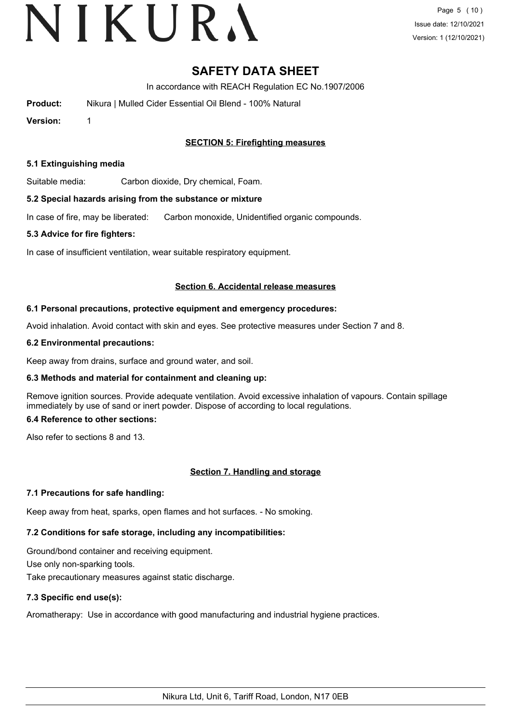## VIKURA

### **SAFETY DATA SHEET**

In accordance with REACH Regulation EC No.1907/2006

| Product: | Nikura   Mulled Cider Essential Oil Blend - 100% Natural |
|----------|----------------------------------------------------------|
|          |                                                          |

**Version:** 1

#### **SECTION 5: Firefighting measures**

#### **5.1 Extinguishing media**

Suitable media: Carbon dioxide, Dry chemical, Foam.

#### **5.2 Special hazards arising from the substance or mixture**

In case of fire, may be liberated: Carbon monoxide, Unidentified organic compounds.

#### **5.3 Advice for fire fighters:**

In case of insufficient ventilation, wear suitable respiratory equipment.

#### **Section 6. Accidental release measures**

#### **6.1 Personal precautions, protective equipment and emergency procedures:**

Avoid inhalation. Avoid contact with skin and eyes. See protective measures under Section 7 and 8.

#### **6.2 Environmental precautions:**

Keep away from drains, surface and ground water, and soil.

#### **6.3 Methods and material for containment and cleaning up:**

Remove ignition sources. Provide adequate ventilation. Avoid excessive inhalation of vapours. Contain spillage immediately by use of sand or inert powder. Dispose of according to local regulations.

#### **6.4 Reference to other sections:**

Also refer to sections 8 and 13.

#### **Section 7. Handling and storage**

#### **7.1 Precautions for safe handling:**

Keep away from heat, sparks, open flames and hot surfaces. - No smoking.

### **7.2 Conditions for safe storage, including any incompatibilities:**

Ground/bond container and receiving equipment. Use only non-sparking tools. Take precautionary measures against static discharge.

#### **7.3 Specific end use(s):**

Aromatherapy: Use in accordance with good manufacturing and industrial hygiene practices.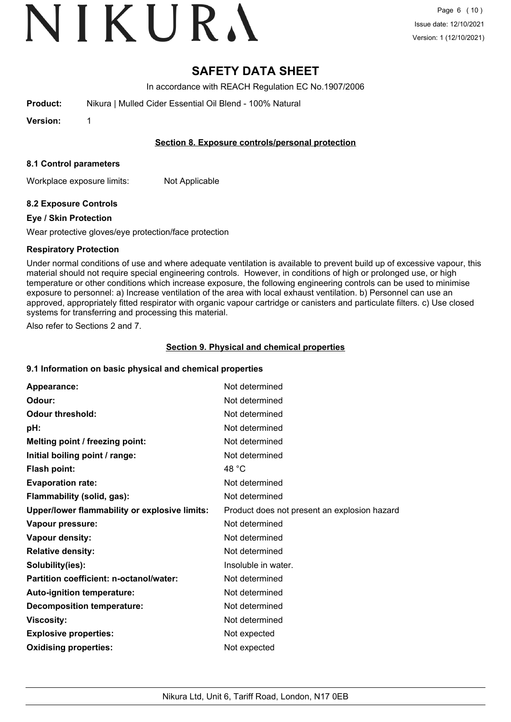# VIKURA

### **SAFETY DATA SHEET**

In accordance with REACH Regulation EC No.1907/2006

**Product:** Nikura | Mulled Cider Essential Oil Blend - 100% Natural

**Version:** 1

#### **Section 8. Exposure controls/personal protection**

#### **8.1 Control parameters**

Workplace exposure limits: Not Applicable

#### **8.2 Exposure Controls**

#### **Eye / Skin Protection**

Wear protective gloves/eye protection/face protection

#### **Respiratory Protection**

Under normal conditions of use and where adequate ventilation is available to prevent build up of excessive vapour, this material should not require special engineering controls. However, in conditions of high or prolonged use, or high temperature or other conditions which increase exposure, the following engineering controls can be used to minimise exposure to personnel: a) Increase ventilation of the area with local exhaust ventilation. b) Personnel can use an approved, appropriately fitted respirator with organic vapour cartridge or canisters and particulate filters. c) Use closed systems for transferring and processing this material.

Also refer to Sections 2 and 7.

#### **Section 9. Physical and chemical properties**

#### **9.1 Information on basic physical and chemical properties**

| Appearance:                                   | Not determined                               |
|-----------------------------------------------|----------------------------------------------|
| Odour:                                        | Not determined                               |
| <b>Odour threshold:</b>                       | Not determined                               |
| pH:                                           | Not determined                               |
| Melting point / freezing point:               | Not determined                               |
| Initial boiling point / range:                | Not determined                               |
| Flash point:                                  | 48 °C                                        |
| <b>Evaporation rate:</b>                      | Not determined                               |
| Flammability (solid, gas):                    | Not determined                               |
| Upper/lower flammability or explosive limits: | Product does not present an explosion hazard |
| Vapour pressure:                              | Not determined                               |
| Vapour density:                               | Not determined                               |
| <b>Relative density:</b>                      | Not determined                               |
| Solubility(ies):                              | Insoluble in water.                          |
| Partition coefficient: n-octanol/water:       | Not determined                               |
| <b>Auto-ignition temperature:</b>             | Not determined                               |
| <b>Decomposition temperature:</b>             | Not determined                               |
| <b>Viscosity:</b>                             | Not determined                               |
| <b>Explosive properties:</b>                  | Not expected                                 |
| <b>Oxidising properties:</b>                  | Not expected                                 |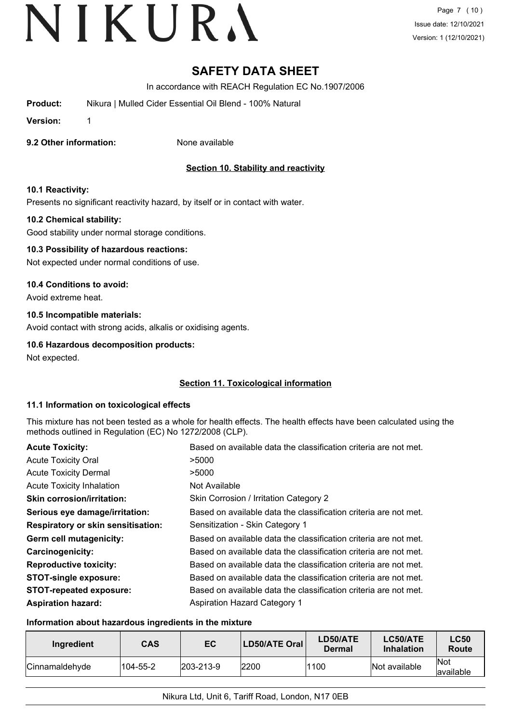### **SAFETY DATA SHEET**

In accordance with REACH Regulation EC No.1907/2006

**Product:** Nikura | Mulled Cider Essential Oil Blend - 100% Natural

**Version:** 1

**9.2 Other information:** None available

#### **Section 10. Stability and reactivity**

#### **10.1 Reactivity:**

Presents no significant reactivity hazard, by itself or in contact with water.

#### **10.2 Chemical stability:**

Good stability under normal storage conditions.

#### **10.3 Possibility of hazardous reactions:**

Not expected under normal conditions of use.

#### **10.4 Conditions to avoid:**

Avoid extreme heat.

#### **10.5 Incompatible materials:**

Avoid contact with strong acids, alkalis or oxidising agents.

#### **10.6 Hazardous decomposition products:**

Not expected.

#### **Section 11. Toxicological information**

#### **11.1 Information on toxicological effects**

This mixture has not been tested as a whole for health effects. The health effects have been calculated using the methods outlined in Regulation (EC) No 1272/2008 (CLP).

| <b>Acute Toxicity:</b>             | Based on available data the classification criteria are not met. |
|------------------------------------|------------------------------------------------------------------|
| <b>Acute Toxicity Oral</b>         | >5000                                                            |
| <b>Acute Toxicity Dermal</b>       | >5000                                                            |
| <b>Acute Toxicity Inhalation</b>   | Not Available                                                    |
| <b>Skin corrosion/irritation:</b>  | Skin Corrosion / Irritation Category 2                           |
| Serious eye damage/irritation:     | Based on available data the classification criteria are not met. |
| Respiratory or skin sensitisation: | Sensitization - Skin Category 1                                  |
| Germ cell mutagenicity:            | Based on available data the classification criteria are not met. |
| <b>Carcinogenicity:</b>            | Based on available data the classification criteria are not met. |
| <b>Reproductive toxicity:</b>      | Based on available data the classification criteria are not met. |
| <b>STOT-single exposure:</b>       | Based on available data the classification criteria are not met. |
| <b>STOT-repeated exposure:</b>     | Based on available data the classification criteria are not met. |
| <b>Aspiration hazard:</b>          | <b>Aspiration Hazard Category 1</b>                              |

#### **Information about hazardous ingredients in the mixture**

| Ingredient             | <b>CAS</b> | EC                | <b>LD50/ATE Oral</b> | LD50/ATE<br>Dermal | LC50/ATE<br><b>Inhalation</b> | <b>LC50</b><br>Route      |
|------------------------|------------|-------------------|----------------------|--------------------|-------------------------------|---------------------------|
| <b>ICinnamaldehvde</b> | 104-55-2   | $ 203 - 213 - 9 $ | 12200                | 1100               | Not available                 | <b>INot</b><br>lavailable |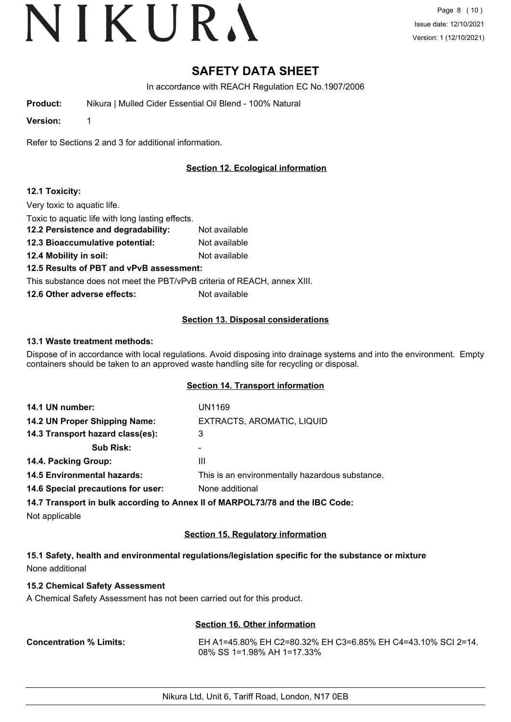### **SAFETY DATA SHEET**

In accordance with REACH Regulation EC No.1907/2006

**Product:** Nikura | Mulled Cider Essential Oil Blend - 100% Natural

**Version:** 1

Refer to Sections 2 and 3 for additional information.

#### **Section 12. Ecological information**

#### **12.1 Toxicity:**

Very toxic to aquatic life.

Toxic to aquatic life with long lasting effects.

**12.2 Persistence and degradability:** Not available

**12.3 Bioaccumulative potential:** Not available

**12.4 Mobility in soil:** Not available

#### **12.5 Results of PBT and vPvB assessment:**

This substance does not meet the PBT/vPvB criteria of REACH, annex XIII.

**12.6 Other adverse effects:** Not available

#### **Section 13. Disposal considerations**

#### **13.1 Waste treatment methods:**

Dispose of in accordance with local regulations. Avoid disposing into drainage systems and into the environment. Empty containers should be taken to an approved waste handling site for recycling or disposal.

#### **Section 14. Transport information**

| 14.1 UN number:                    | UN1169                                          |
|------------------------------------|-------------------------------------------------|
| 14.2 UN Proper Shipping Name:      | EXTRACTS, AROMATIC, LIQUID                      |
| 14.3 Transport hazard class(es):   | 3                                               |
| <b>Sub Risk:</b>                   | ۰                                               |
| 14.4. Packing Group:               | Ш                                               |
| <b>14.5 Environmental hazards:</b> | This is an environmentally hazardous substance. |
| 14.6 Special precautions for user: | None additional                                 |
|                                    |                                                 |

**14.7 Transport in bulk according to Annex II of MARPOL73/78 and the IBC Code:**

Not applicable

#### **Section 15. Regulatory information**

**15.1 Safety, health and environmental regulations/legislation specific for the substance or mixture** None additional

#### **15.2 Chemical Safety Assessment**

A Chemical Safety Assessment has not been carried out for this product.

#### **Section 16. Other information**

**Concentration % Limits:** EH A1=45.80% EH C2=80.32% EH C3=6.85% EH C4=43.10% SCI 2=14. 08% SS 1=1.98% AH 1=17.33%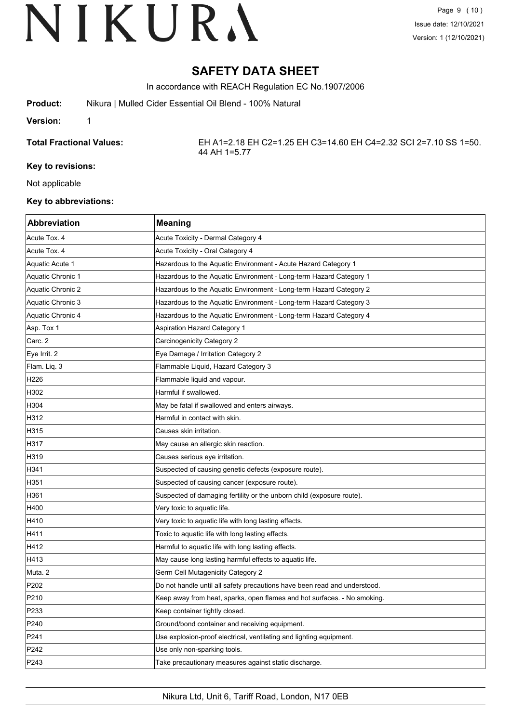### **SAFETY DATA SHEET**

In accordance with REACH Regulation EC No.1907/2006

**Product:** Nikura | Mulled Cider Essential Oil Blend - 100% Natural

**Version:** 1

**Total Fractional Values:** EH A1=2.18 EH C2=1.25 EH C3=14.60 EH C4=2.32 SCI 2=7.10 SS 1=50. 44 AH 1=5.77

#### **Key to revisions:**

Not applicable

#### **Key to abbreviations:**

| Abbreviation      | <b>Meaning</b>                                                            |
|-------------------|---------------------------------------------------------------------------|
| Acute Tox. 4      | Acute Toxicity - Dermal Category 4                                        |
| Acute Tox. 4      | Acute Toxicity - Oral Category 4                                          |
| Aquatic Acute 1   | Hazardous to the Aquatic Environment - Acute Hazard Category 1            |
| Aquatic Chronic 1 | Hazardous to the Aquatic Environment - Long-term Hazard Category 1        |
| Aquatic Chronic 2 | Hazardous to the Aquatic Environment - Long-term Hazard Category 2        |
| Aquatic Chronic 3 | Hazardous to the Aquatic Environment - Long-term Hazard Category 3        |
| Aquatic Chronic 4 | Hazardous to the Aquatic Environment - Long-term Hazard Category 4        |
| Asp. Tox 1        | Aspiration Hazard Category 1                                              |
| Carc. 2           | Carcinogenicity Category 2                                                |
| Eye Irrit. 2      | Eye Damage / Irritation Category 2                                        |
| Flam. Liq. 3      | Flammable Liquid, Hazard Category 3                                       |
| H226              | Flammable liquid and vapour.                                              |
| H302              | Harmful if swallowed.                                                     |
| H304              | May be fatal if swallowed and enters airways.                             |
| H312              | Harmful in contact with skin.                                             |
| H315              | Causes skin irritation.                                                   |
| H317              | May cause an allergic skin reaction.                                      |
| H319              | Causes serious eye irritation.                                            |
| H341              | Suspected of causing genetic defects (exposure route).                    |
| H351              | Suspected of causing cancer (exposure route).                             |
| H361              | Suspected of damaging fertility or the unborn child (exposure route).     |
| H400              | Very toxic to aquatic life.                                               |
| H410              | Very toxic to aquatic life with long lasting effects.                     |
| H411              | Toxic to aquatic life with long lasting effects.                          |
| H412              | Harmful to aquatic life with long lasting effects.                        |
| H413              | May cause long lasting harmful effects to aquatic life.                   |
| Muta. 2           | Germ Cell Mutagenicity Category 2                                         |
| P <sub>202</sub>  | Do not handle until all safety precautions have been read and understood. |
| P210              | Keep away from heat, sparks, open flames and hot surfaces. - No smoking.  |
| P233              | Keep container tightly closed.                                            |
| P240              | Ground/bond container and receiving equipment.                            |
| P241              | Use explosion-proof electrical, ventilating and lighting equipment.       |
| P242              | Use only non-sparking tools.                                              |
| P243              | Take precautionary measures against static discharge.                     |